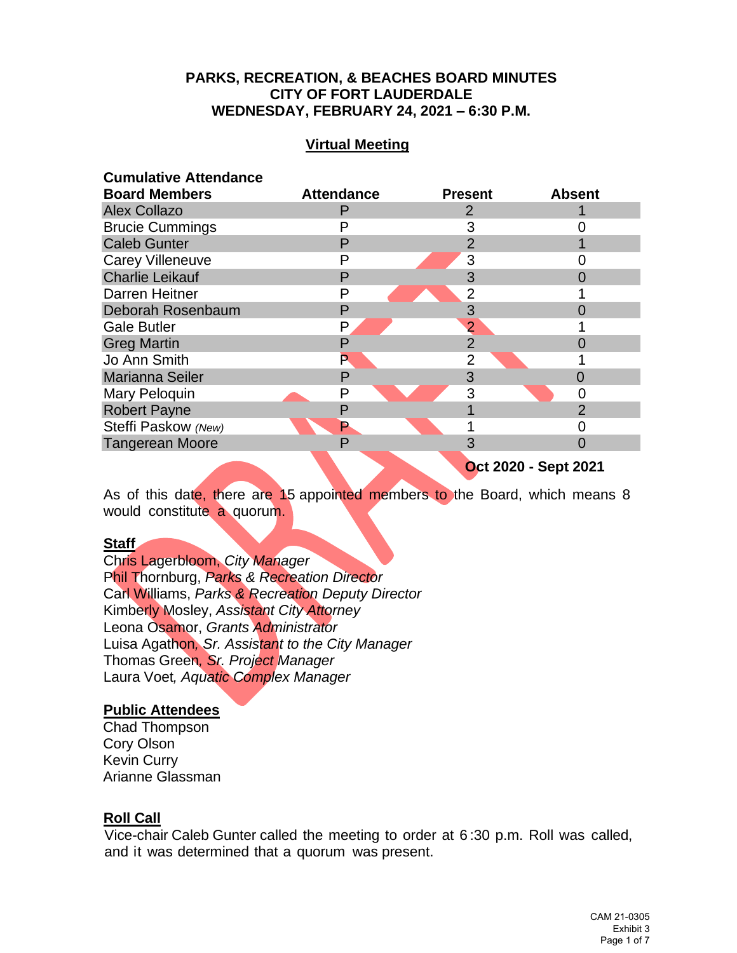# **PARKS, RECREATION, & BEACHES BOARD MINUTES CITY OF FORT LAUDERDALE WEDNESDAY, FEBRUARY 24, 2021 – 6:30 P.M.**

# **Virtual Meeting**

### **Cumulative Attendance**

| <b>Board Members</b>    | <b>Attendance</b>           | <b>Present</b> | <b>Absent</b> |
|-------------------------|-----------------------------|----------------|---------------|
| <b>Alex Collazo</b>     |                             | 2              |               |
| <b>Brucie Cummings</b>  |                             | 3              |               |
| <b>Caleb Gunter</b>     | P                           |                |               |
| <b>Carey Villeneuve</b> |                             | 3              |               |
| <b>Charlie Leikauf</b>  | P                           | 3              |               |
| <b>Darren Heitner</b>   | P                           | 2              |               |
| Deborah Rosenbaum       | P                           | 3              |               |
| <b>Gale Butler</b>      | Р                           | 2              |               |
| <b>Greg Martin</b>      |                             | $\overline{2}$ |               |
| Jo Ann Smith            |                             | $\overline{2}$ |               |
| <b>Marianna Seiler</b>  | P                           | 3              |               |
| Mary Peloquin           | Ρ                           | 3              |               |
| <b>Robert Payne</b>     | P                           |                | $\mathcal{P}$ |
| Steffi Paskow (New)     | Р                           |                |               |
| <b>Tangerean Moore</b>  | P                           |                | ∩             |
|                         | <b>Oct 2020 - Sept 2021</b> |                |               |

As of this date, there are 15 appointed members to the Board, which means 8 would constitute a quorum.

#### **Staff**

Chris Lagerbloom, *City Manager* Phil Thornburg, *Parks & Recreation Director* Carl Williams, *Parks & Recreation Deputy Director* Kimberly Mosley, *Assistant City Attorney* Leona Osamor, *Grants Administrator* Luisa Agathon*, Sr. Assistant to the City Manager* Thomas Green*, Sr. Project Manager* Laura Voet*, Aquatic Complex Manager*

### **Public Attendees**

Chad Thompson Cory Olson Kevin Curry Arianne Glassman

### **Roll Call**

Vice-chair Caleb Gunter called the meeting to order at 6 :30 p.m. Roll was called, and it was determined that a quorum was present.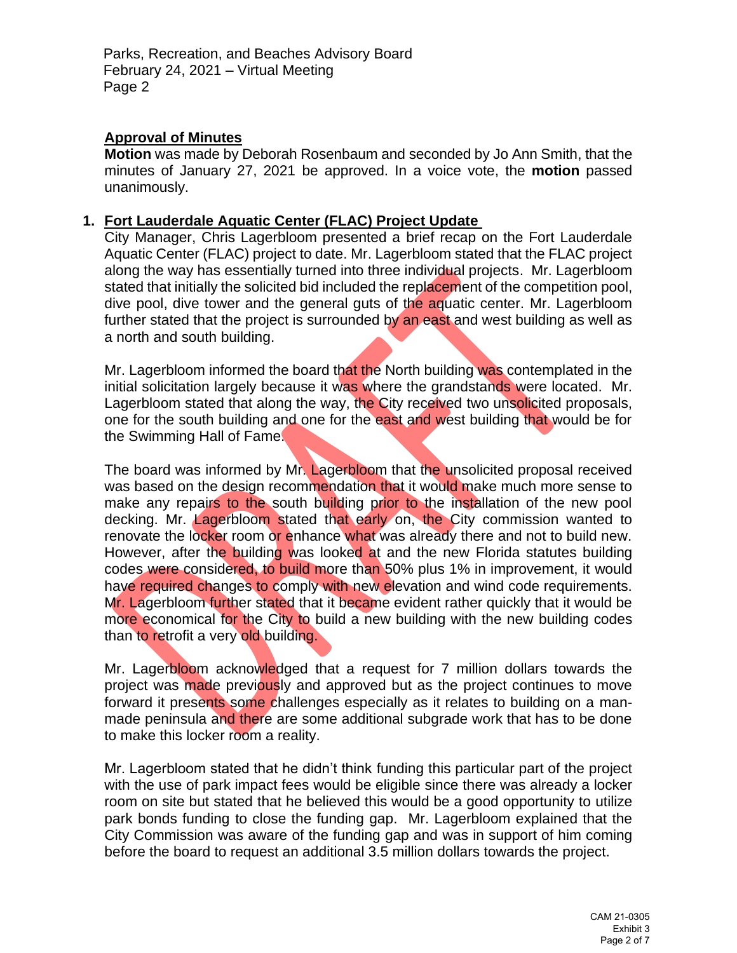# **Approval of Minutes**

**Motion** was made by Deborah Rosenbaum and seconded by Jo Ann Smith, that the minutes of January 27, 2021 be approved. In a voice vote, the **motion** passed unanimously.

## **1. Fort Lauderdale Aquatic Center (FLAC) Project Update**

City Manager, Chris Lagerbloom presented a brief recap on the Fort Lauderdale Aquatic Center (FLAC) project to date. Mr. Lagerbloom stated that the FLAC project along the way has essentially turned into three individual projects. Mr. Lagerbloom stated that initially the solicited bid included the replacement of the competition pool, dive pool, dive tower and the general guts of the aquatic center. Mr. Lagerbloom further stated that the project is surrounded by an east and west building as well as a north and south building.

Mr. Lagerbloom informed the board that the North building was contemplated in the initial solicitation largely because it was where the grandstands were located. Mr. Lagerbloom stated that along the way, the City received two unsolicited proposals, one for the south building and one for the east and west building that would be for the Swimming Hall of Fame.

The board was informed by Mr. Lagerbloom that the unsolicited proposal received was based on the design recommendation that it would make much more sense to make any repairs to the south building prior to the installation of the new pool decking. Mr. *Lagerbloom* stated that early on, the City commission wanted to renovate the locker room or enhance what was already there and not to build new. However, after the building was looked at and the new Florida statutes building codes were considered, to build more than 50% plus 1% in improvement, it would have required changes to comply with new elevation and wind code requirements. Mr. Lagerbloom further stated that it became evident rather quickly that it would be more economical for the City to build a new building with the new building codes than to retrofit a very old building.

Mr. Lagerbloom acknowledged that a request for 7 million dollars towards the project was made previously and approved but as the project continues to move forward it presents some challenges especially as it relates to building on a manmade peninsula and there are some additional subgrade work that has to be done to make this locker room a reality.

Mr. Lagerbloom stated that he didn't think funding this particular part of the project with the use of park impact fees would be eligible since there was already a locker room on site but stated that he believed this would be a good opportunity to utilize park bonds funding to close the funding gap. Mr. Lagerbloom explained that the City Commission was aware of the funding gap and was in support of him coming before the board to request an additional 3.5 million dollars towards the project.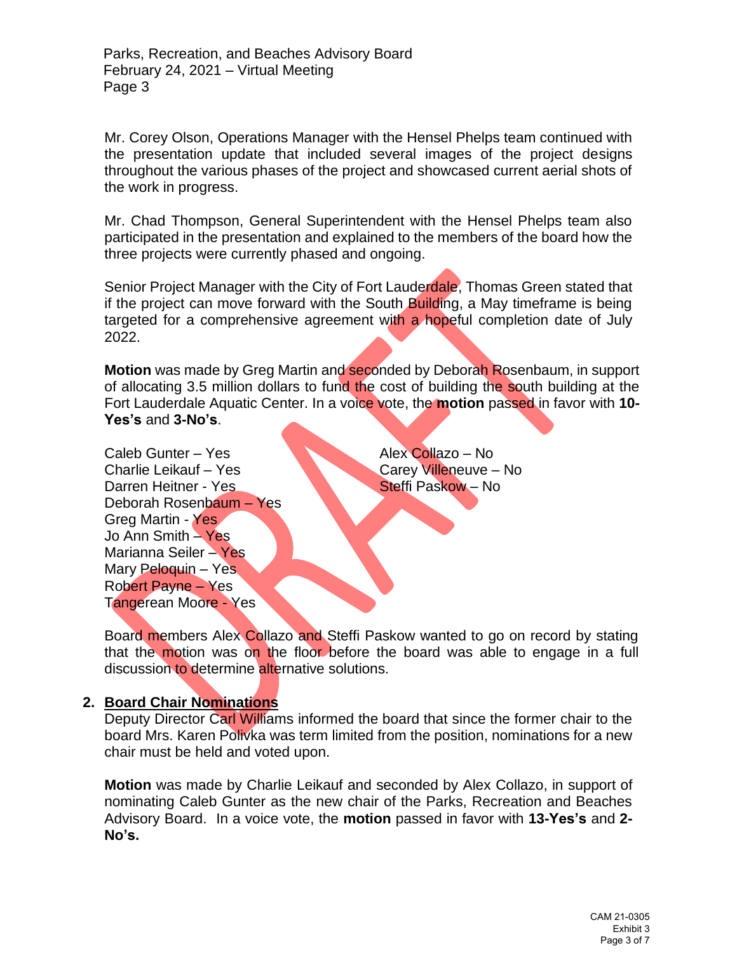Mr. Corey Olson, Operations Manager with the Hensel Phelps team continued with the presentation update that included several images of the project designs throughout the various phases of the project and showcased current aerial shots of the work in progress.

Mr. Chad Thompson, General Superintendent with the Hensel Phelps team also participated in the presentation and explained to the members of the board how the three projects were currently phased and ongoing.

Senior Project Manager with the City of Fort Lauderdale, Thomas Green stated that if the project can move forward with the South Building, a May timeframe is being targeted for a comprehensive agreement with a hopeful completion date of July 2022.

**Motion** was made by Greg Martin and seconded by Deborah Rosenbaum, in support of allocating 3.5 million dollars to fund the cost of building the south building at the Fort Lauderdale Aquatic Center. In a voice vote, the **motion** passed in favor with **10- Yes's** and **3-No's**.

Caleb Gunter – Yes Alex Collazo – No Charlie Leikauf – Yes Carey Villeneuve – No Darren Heitner - Yes Steffi Paskow – No Deborah Rosenbaum – Yes Greg Martin - Yes Jo Ann Smith – Yes Marianna Seiler – Yes Mary Peloquin – Yes Robert Payne – Yes Tangerean Moore - Yes

Board members Alex Collazo and Steffi Paskow wanted to go on record by stating that the motion was on the floor before the board was able to engage in a full discussion to determine alternative solutions.

# **2. Board Chair Nominations**

Deputy Director Carl Williams informed the board that since the former chair to the board Mrs. Karen Polivka was term limited from the position, nominations for a new chair must be held and voted upon.

**Motion** was made by Charlie Leikauf and seconded by Alex Collazo, in support of nominating Caleb Gunter as the new chair of the Parks, Recreation and Beaches Advisory Board. In a voice vote, the **motion** passed in favor with **13-Yes's** and **2- No's.**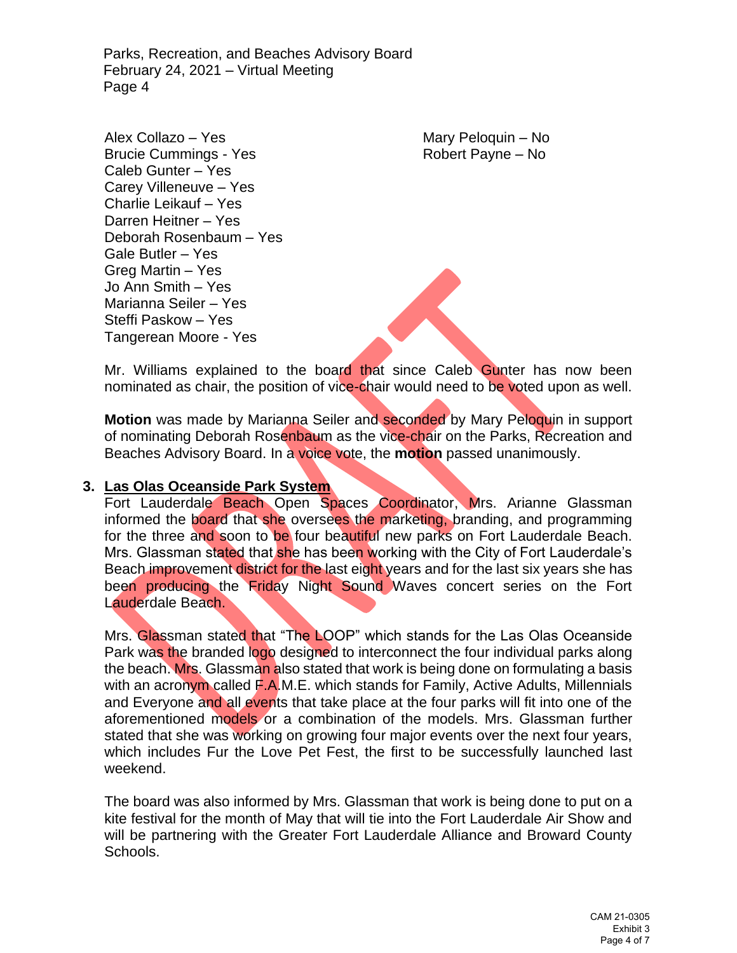Alex Collazo – Yes Mary Peloquin – No Brucie Cummings - Yes Robert Payne – No Caleb Gunter – Yes Carey Villeneuve – Yes Charlie Leikauf – Yes Darren Heitner – Yes Deborah Rosenbaum – Yes Gale Butler – Yes Greg Martin – Yes Jo Ann Smith – Yes Marianna Seiler – Yes Steffi Paskow – Yes Tangerean Moore - Yes

Mr. Williams explained to the board that since Caleb Gunter has now been nominated as chair, the position of vice-chair would need to be voted upon as well.

**Motion** was made by Marianna Seiler and seconded by Mary Peloquin in support of nominating Deborah Rosenbaum as the vice-chair on the Parks, Recreation and Beaches Advisory Board. In a voice vote, the **motion** passed unanimously.

### **3. Las Olas Oceanside Park System**

Fort Lauderdale Beach Open Spaces Coordinator, Mrs. Arianne Glassman informed the board that she oversees the marketing, branding, and programming for the three and soon to be four beautiful new parks on Fort Lauderdale Beach. Mrs. Glassman stated that she has been working with the City of Fort Lauderdale's Beach improvement district for the last eight years and for the last six years she has been producing the Friday Night Sound Waves concert series on the Fort Lauderdale Beach.

Mrs. Glassman stated that "The LOOP" which stands for the Las Olas Oceanside Park was the branded logo designed to interconnect the four individual parks along the beach. Mrs. Glassman also stated that work is being done on formulating a basis with an acronym called F.A.M.E. which stands for Family, Active Adults, Millennials and Everyone and all events that take place at the four parks will fit into one of the aforementioned models or a combination of the models. Mrs. Glassman further stated that she was working on growing four major events over the next four years, which includes Fur the Love Pet Fest, the first to be successfully launched last weekend.

The board was also informed by Mrs. Glassman that work is being done to put on a kite festival for the month of May that will tie into the Fort Lauderdale Air Show and will be partnering with the Greater Fort Lauderdale Alliance and Broward County Schools.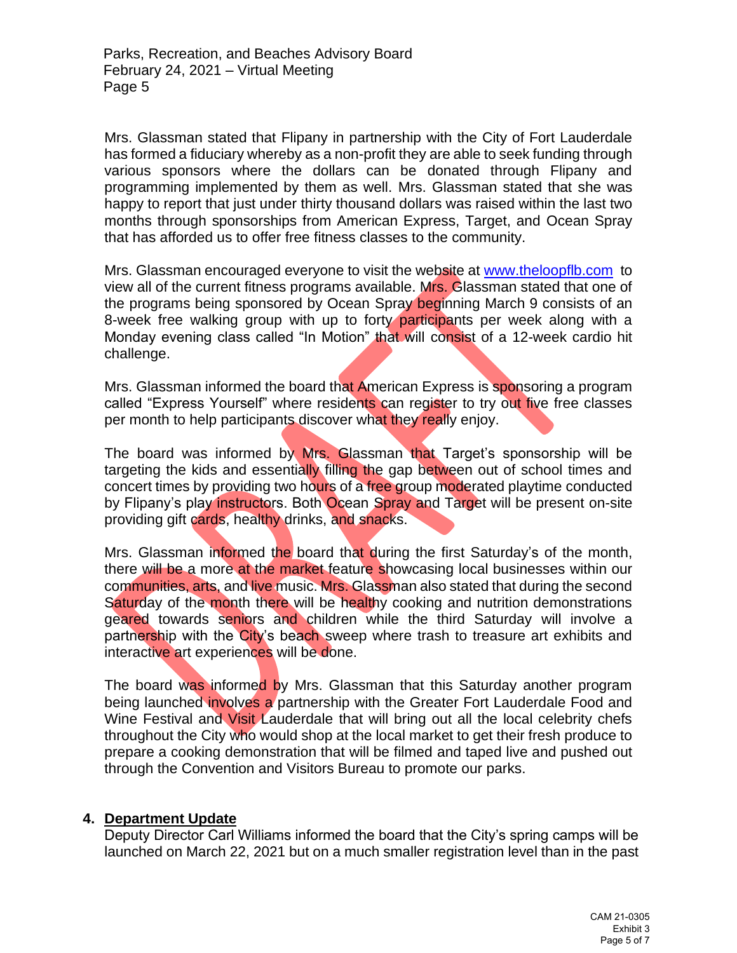Mrs. Glassman stated that Flipany in partnership with the City of Fort Lauderdale has formed a fiduciary whereby as a non-profit they are able to seek funding through various sponsors where the dollars can be donated through Flipany and programming implemented by them as well. Mrs. Glassman stated that she was happy to report that just under thirty thousand dollars was raised within the last two months through sponsorships from American Express, Target, and Ocean Spray that has afforded us to offer free fitness classes to the community.

Mrs. Glassman encouraged everyone to visit the website at [www.theloopflb.com](http://www.theloopflb.com/) to view all of the current fitness programs available. Mrs. Glassman stated that one of the programs being sponsored by Ocean Spray beginning March 9 consists of an 8-week free walking group with up to forty participants per week along with a Monday evening class called "In Motion" that will consist of a 12-week cardio hit challenge.

Mrs. Glassman informed the board that American Express is sponsoring a program called "Express Yourself" where residents can register to try out five free classes per month to help participants discover what they really enjoy.

The board was informed by Mrs. Glassman that Target's sponsorship will be targeting the kids and essentially filling the gap between out of school times and concert times by providing two hours of a free group moderated playtime conducted by Flipany's play instructors. Both Ocean Spray and Target will be present on-site providing gift cards, healthy drinks, and snacks.

Mrs. Glassman informed the board that during the first Saturday's of the month, there will be a more at the market feature showcasing local businesses within our communities, arts, and live music. Mrs. Glassman also stated that during the second Saturday of the month there will be healthy cooking and nutrition demonstrations geared towards seniors and children while the third Saturday will involve a partnership with the City's beach sweep where trash to treasure art exhibits and interactive art experiences will be done.

The board was informed by Mrs. Glassman that this Saturday another program being launched involves a partnership with the Greater Fort Lauderdale Food and Wine Festival and Visit Lauderdale that will bring out all the local celebrity chefs throughout the City who would shop at the local market to get their fresh produce to prepare a cooking demonstration that will be filmed and taped live and pushed out through the Convention and Visitors Bureau to promote our parks.

# **4. Department Update**

Deputy Director Carl Williams informed the board that the City's spring camps will be launched on March 22, 2021 but on a much smaller registration level than in the past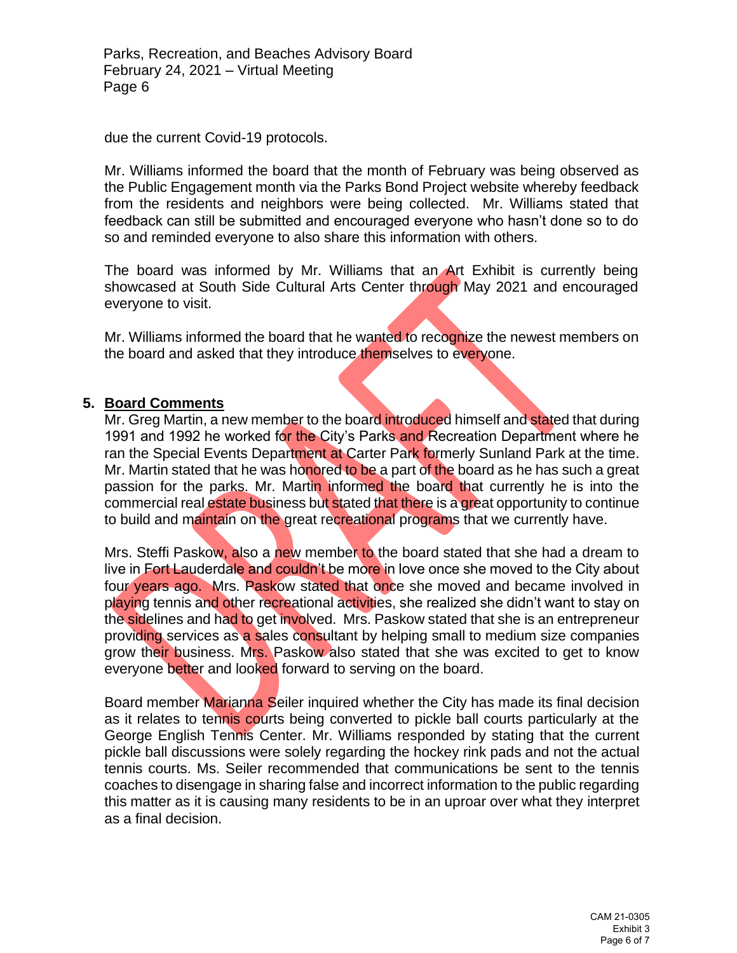due the current Covid-19 protocols.

Mr. Williams informed the board that the month of February was being observed as the Public Engagement month via the Parks Bond Project website whereby feedback from the residents and neighbors were being collected. Mr. Williams stated that feedback can still be submitted and encouraged everyone who hasn't done so to do so and reminded everyone to also share this information with others.

The board was informed by Mr. Williams that an Art Exhibit is currently being showcased at South Side Cultural Arts Center through May 2021 and encouraged everyone to visit.

Mr. Williams informed the board that he wanted to recognize the newest members on the board and asked that they introduce themselves to everyone.

### **5. Board Comments**

Mr. Greg Martin, a new member to the board introduced himself and stated that during 1991 and 1992 he worked for the City's Parks and Recreation Department where he ran the Special Events Department at Carter Park formerly Sunland Park at the time. Mr. Martin stated that he was honored to be a part of the board as he has such a great passion for the parks. Mr. Martin informed the board that currently he is into the commercial real estate business but stated that there is a great opportunity to continue to build and maintain on the great recreational programs that we currently have.

Mrs. Steffi Paskow, also a new member to the board stated that she had a dream to live in Fort Lauderdale and couldn't be more in love once she moved to the City about four years ago. Mrs. Paskow stated that once she moved and became involved in playing tennis and other recreational activities, she realized she didn't want to stay on the sidelines and had to get involved. Mrs. Paskow stated that she is an entrepreneur providing services as a sales consultant by helping small to medium size companies grow their business. Mrs. Paskow also stated that she was excited to get to know everyone better and looked forward to serving on the board.

Board member Marianna Seiler inquired whether the City has made its final decision as it relates to tennis courts being converted to pickle ball courts particularly at the George English Tennis Center. Mr. Williams responded by stating that the current pickle ball discussions were solely regarding the hockey rink pads and not the actual tennis courts. Ms. Seiler recommended that communications be sent to the tennis coaches to disengage in sharing false and incorrect information to the public regarding this matter as it is causing many residents to be in an uproar over what they interpret as a final decision.